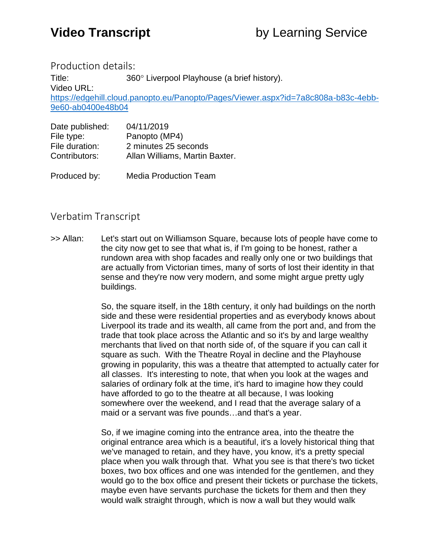Production details:

Title: 360° Liverpool Playhouse (a brief history). Video URL: [https://edgehill.cloud.panopto.eu/Panopto/Pages/Viewer.aspx?id=7a8c808a-b83c-4ebb-](https://edgehill.cloud.panopto.eu/Panopto/Pages/Viewer.aspx?id=7a8c808a-b83c-4ebb-9e60-ab0400e48b04)[9e60-ab0400e48b04](https://edgehill.cloud.panopto.eu/Panopto/Pages/Viewer.aspx?id=7a8c808a-b83c-4ebb-9e60-ab0400e48b04)

| Date published: | 04/11/2019                     |
|-----------------|--------------------------------|
| File type:      | Panopto (MP4)                  |
| File duration:  | 2 minutes 25 seconds           |
| Contributors:   | Allan Williams, Martin Baxter. |
|                 |                                |

Produced by: Media Production Team

## Verbatim Transcript

>> Allan: Let's start out on Williamson Square, because lots of people have come to the city now get to see that what is, if I'm going to be honest, rather a rundown area with shop facades and really only one or two buildings that are actually from Victorian times, many of sorts of lost their identity in that sense and they're now very modern, and some might argue pretty ugly buildings.

> So, the square itself, in the 18th century, it only had buildings on the north side and these were residential properties and as everybody knows about Liverpool its trade and its wealth, all came from the port and, and from the trade that took place across the Atlantic and so it's by and large wealthy merchants that lived on that north side of, of the square if you can call it square as such. With the Theatre Royal in decline and the Playhouse growing in popularity, this was a theatre that attempted to actually cater for all classes. It's interesting to note, that when you look at the wages and salaries of ordinary folk at the time, it's hard to imagine how they could have afforded to go to the theatre at all because, I was looking somewhere over the weekend, and I read that the average salary of a maid or a servant was five pounds…and that's a year.

> So, if we imagine coming into the entrance area, into the theatre the original entrance area which is a beautiful, it's a lovely historical thing that we've managed to retain, and they have, you know, it's a pretty special place when you walk through that. What you see is that there's two ticket boxes, two box offices and one was intended for the gentlemen, and they would go to the box office and present their tickets or purchase the tickets, maybe even have servants purchase the tickets for them and then they would walk straight through, which is now a wall but they would walk